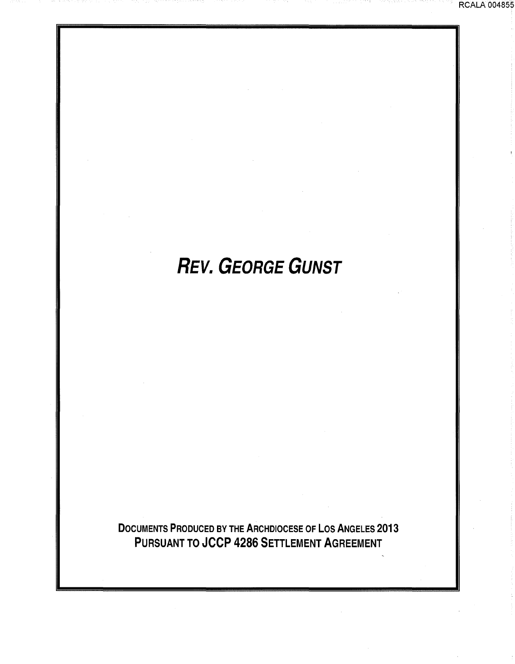# **REV. GEORGE GUNST**

DOCUMENTS PRODUCED BY THE ARCHDIOCESE OF LOS ANGELES 2013 PURSUANT TO JCCP 4286 SETTLEMENT AGREEMENT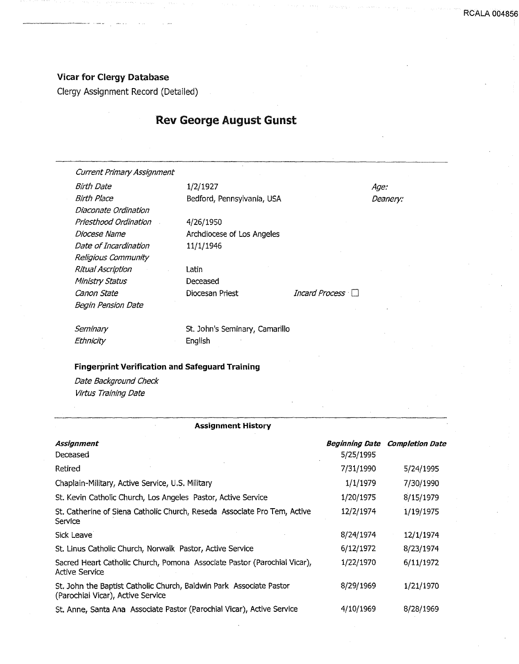# Vicar for Clergy Database

Clergy Assignment Record (Detailed)

# Rev George August Gunst

Current Primary Assignment

Birth Date 1/2/1927 Diaconate Ordination Priesthood Ordination Diocese Name Date of Incardination Religious Community Ritual Ascription Ministry Status canon State Begin Pension Date

Birth Place Bedford, Pennsylvania, USA

4/26/1950 Archdiocese of Los Angeles 11/1/1946

Latin Deceased

Diocesan Priest *Incard Process* 

Age: Deanery:

**Seminary Ethnicity** 

St. John's Seminary, Camarillo English

#### Fingerprint Verification and Safeguard Training

Date Background Check Virtus Training Date

#### Assignment History

| Assignment<br>Deceased                                                                                   | <i><b>Beginning Date</b></i><br>5/25/1995 | <b>Completion Date</b> |
|----------------------------------------------------------------------------------------------------------|-------------------------------------------|------------------------|
| Retired                                                                                                  | 7/31/1990                                 | 5/24/1995              |
| Chaplain-Military, Active Service, U.S. Military                                                         | 1/1/1979                                  | 7/30/1990              |
| St. Kevin Catholic Church, Los Angeles Pastor, Active Service                                            | 1/20/1975                                 | 8/15/1979              |
| St. Catherine of Siena Catholic Church, Reseda Associate Pro Tem, Active<br>Service                      | 12/2/1974                                 | 1/19/1975              |
| Sick Leave                                                                                               | 8/24/1974                                 | 12/1/1974              |
| St. Linus Catholic Church, Norwalk Pastor, Active Service                                                | 6/12/1972                                 | 8/23/1974              |
| Sacred Heart Catholic Church, Pomona Associate Pastor (Parochial Vicar),<br><b>Active Service</b>        | 1/22/1970                                 | 6/11/1972              |
| St. John the Baptist Catholic Church, Baldwin Park Associate Pastor<br>(Parochial Vicar), Active Service | 8/29/1969                                 | 1/21/1970              |
| St. Anne, Santa Ana Associate Pastor (Parochial Vicar), Active Service                                   | 4/10/1969                                 | 8/28/1969              |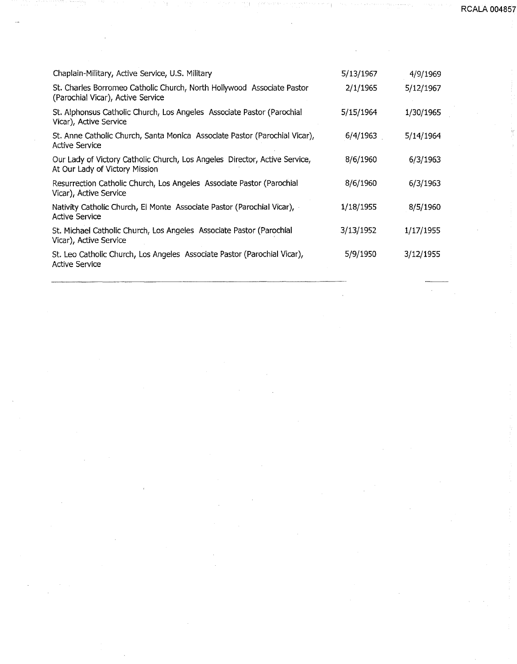**RCALA 00485** 

| Chaplain-Military, Active Service, U.S. Military                                                             | 5/13/1967 | 4/9/1969  |
|--------------------------------------------------------------------------------------------------------------|-----------|-----------|
| St. Charles Borromeo Catholic Church, North Hollywood Associate Pastor<br>(Parochial Vicar), Active Service  | 2/1/1965  | 5/12/1967 |
| St. Alphonsus Catholic Church, Los Angeles Associate Pastor (Parochial<br>Vicar), Active Service             | 5/15/1964 | 1/30/1965 |
| St. Anne Catholic Church, Santa Monica Associate Pastor (Parochial Vicar),<br>Active Service                 | 6/4/1963  | 5/14/1964 |
| Our Lady of Victory Catholic Church, Los Angeles Director, Active Service,<br>At Our Lady of Victory Mission | 8/6/1960  | 6/3/1963  |
| Resurrection Catholic Church, Los Angeles Associate Pastor (Parochial<br>Vicar), Active Service              | 8/6/1960  | 6/3/1963  |
| Nativity Catholic Church, El Monte Associate Pastor (Parochial Vicar),<br><b>Active Service</b>              | 1/18/1955 | 8/5/1960  |
| St. Michael Catholic Church, Los Angeles Associate Pastor (Parochial<br>Vicar), Active Service               | 3/13/1952 | 1/17/1955 |
| St. Leo Catholic Church, Los Angeles Associate Pastor (Parochial Vicar),<br><b>Active Service</b>            | 5/9/1950  | 3/12/1955 |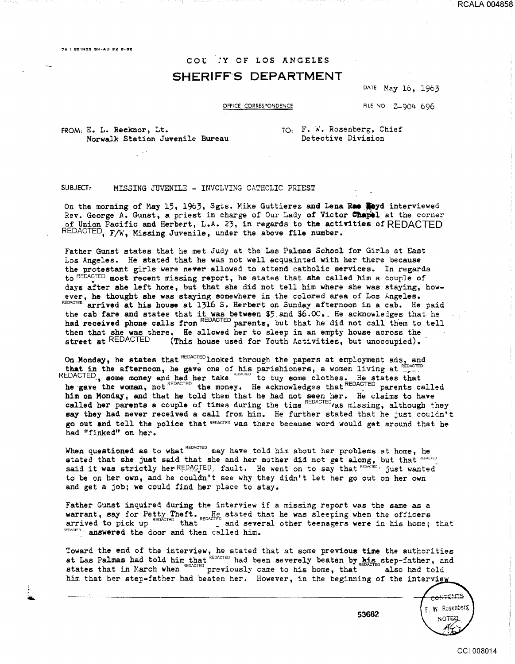76 I **!5S1NZ5 SH·AD 82** cs~ez

# COt .'Y OF LOS ANGELES SHERIFF'S DEPARTMENT

DATE May 16, 1963

RCALA 004858

OFFICE CORRESPONDENCE FILE NO. Z-904 696

FROM: E. L. Reeknor, Lt. Norwalk Station Juvenile Bureau TO: F. W. Rosenberg, Chief Detective Division

#### SUBJECT: MISSING JUVENILE - INVOLVING CATHOLIC PRIEST

On the morning of May 15, 1963, Sgts. Mike Guttierez and Lena Ra **Hoyd** interviewed Rev. George A. Gunst, a priest in charge of Our Lady of Victor Chapel at the corner of Union Pacific and Herbert, L.A. 23, in regards to the activities of REDACTED REDACTED, F/W, Missing Juvenile, under the above file number.

Father Gunst states that he met Judy at the Las Palmas School for Girls at East Los Angeles. He stated that he was not well acquainted with her there because the protestant girls were never allowed to attend catholic services. In regards to REDACTED most recent missing report, he states that she called him a couple of days after she left home, but that she did not tell him where she was staying, however, he thought she was staying somewhere in the colored area of Los Angeles. REDACTED arrived at his house at  $13\overline{1}6$  S. Herbert on Sunday afternoon in a cab. He paid the cab fare and states that it was between  $$5$  and  $$6.00$ . He acknowledges that he had received phone calls from REDACTED parents, but that he did not call them to tell them that she was there. He allowed her to sleep in an empty house across the street at REDACTED (This house used for Youth Activities, but unoccupied).

On Monday, he states that  $REDACTED$  looked through the papers at employment ads, and that in the afternoon, he gave one of his parishioners, a women living at  $_{-\sim}^{\text{REOACIED}}$ REDACTED., some money and had her take REDACTED to buy some clothes. He states that he gave the woman, not REDACTED the money. He acknowledges that REDACTED parents called him on Monday, and that he told them that he had not seen her. He claims to have called her parents a couple of times during the time REDACTED vas missing, although they say they had never received a call from him. He further stated that he just couldn't go out and tell the police that REDACTED was there because word would get around that he had "finked" on her.

When questioned as to what REDACTED may have told him about her problems at home, he stated that she just said that she and her mother did not get along, but that REDACTED said it was strictly her REDACTED, fault. He went on to say that REDACTED, just wanted to be on her own, and he couldn't see why they didn't let her go out on her own and get a job; we could find her place to stay.

Father Gunst inquired during the interview if a missing report was the same as a warrant, say for Petty Theft. He stated that he was sleeping when the officers arrived to pick up  $REDACTED$  that  $\frac{1}{2}$  and several other teenagers were in his home; that REDACTED · answered the door and then called him.

Toward the end of the interview, he stated that at some previous time the authorities at Las Palmas had told him that REDACTED had been severely beaten by his step-father, and states that in March when  $REDACTED$  previously came to his home, that  $REDACTED$  also had told him that her step-father had beaten her. However, in the beginning of the interview

CONTENTS F. W. Resembers NOTE

CCI 008014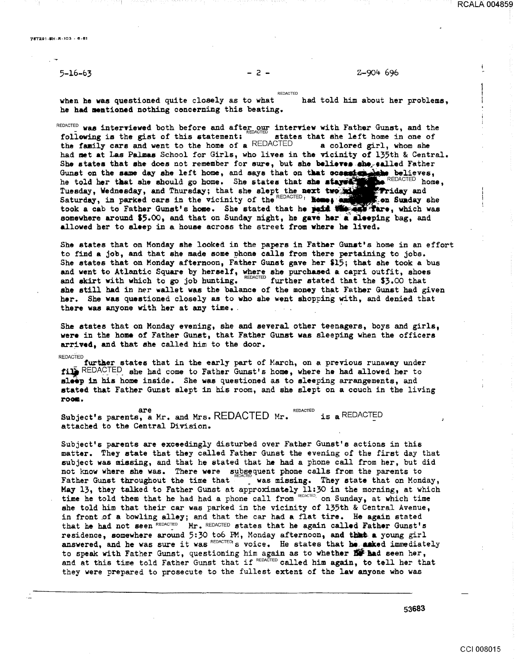## 5-16-63 - 2 - Z-904- 696

REDACTED when he was questioned quite closely as to what he had mentioned nothing concerning this beating. had told him about her problems.

REDACTED was interviewed both before and after our interview with Father Gunst, and the following is the gist of this statement; states that she left home in one of the family cars and went to the home of a REDACTED a col the family cars and went to the home of a REDACTED had met at Las Palmaa School for Girls, who lives in the vicinity of 135th & Central. She states that she does not remember for sure, but she believes she salled Father Gunst on the same day she left home, and says that on that ocsaster believes, he told her that she should go home. She states that she stays the REDACTED home, Tuesday, Wednesday, and Thursday; that she slept the next two still of Friday and Saturday, in parked cars in the vicinity of the REDACTED 1 **home, and she shedded** she took a cab to Father Gunst's home. She stated that he paid with any Tare, which was somewhere around \$5.00, and that on Sunday night, he gave her a sleeping bag, and allowed her to sleep in a house across the street from where he lived.

She states that on Monday she looked in the papers in Father Gunst's home in an effort to find a job, and that she made some phone calls from there pertaining to jobs. She states that on Monday afternoon, Father Gunst gave her \$15; that she took a bus and went to Atlantic Square by herself, where she purchased a capri outfit, shoes and skirt with which to go job hunting. REDACTED further stated that the \$3.00 that she still had in her wallet was the balance of the money that Father Gunst had given her. She was questioned closely as to who she went shopping with, and denied that there was anyone with her at any time.

She states that on Monday evening, she and several other teenagers, boys and girls, were in the home of Father Gunst, that Father Gunst was sleeping when the officers arrived, and that she called him to the door.

#### **REDACTED**

further states that in the early part of March, on a previous runaway under fill REDACTED she had come to Father Gunst's home, where he had allowed her to sleep in his home inside. She was questioned as to sleeping arrangements, and stated that Father Gunst slept in his room, and she slept on a couch in the living roee.

are<br>Subject's parents, a Mr. and Mrs. REDACTED Mr. REDACTED is a REDACTED attached to the Central Division.

Subject's parents are exceedingly disturbed over Father Gunst's actions in this matter. They state that they called Father Gunst the evening of the first day that subject was missing, and that he stated that he had a phone call from her, but did not know where she was. There were subsequent phone calls from the parents to Father Gunst throughout the time that was missing. They state that on Monday, May 13, they talked to Father Gunst at approximately 11:30 in the morning, at which time he told them that he had had a phone call from REDACTED. on Sunday, at which time she told him that their car was parked in the vicinity of l35th & Central Avenue, in front of a bowling alley; and that the car had a flat tire. He again stated that he had not seen REDACTED Mr. REDACTED states that he again called Father Gunst's that he had not seen REDACTED Mr. REDACTED states that he again called Father Gunst's<br>residence, somewhere around 5:30 to6 PM, Monday afternoon, and that a young girl residence, somewhere around  $f, f$  coo  $f, f$ , nonday are noon, and these a young grill<br>answered, and he was sure it was  $REDACTED$  is voice. He states that **he aaked immediately** to speak with Father Gunst, questioning him again as to whether **EC had seen her,** and at this time told Father Gunst that if REDACTED called him again, to tell her that they were prepared to prosecute to the fullest extent of the law anyone who was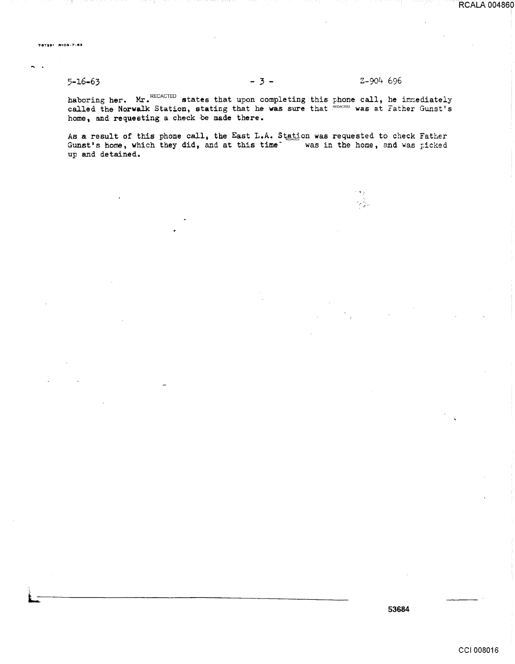# $5 - 16 - 63$

### Z-904 696

haboring her. Mr. REDACTED states that upon completing this phone call, he immediately called the Norwalk Station, stating that he was sure that  $k_{\text{EONCE}}$  was at Father Gunst's home, and requesting a check be made there.

As a result of this phone call, the East L.A. Station was requested to check Father Gunst's home, which they did, and at this time was in the home, and was picked up and detained.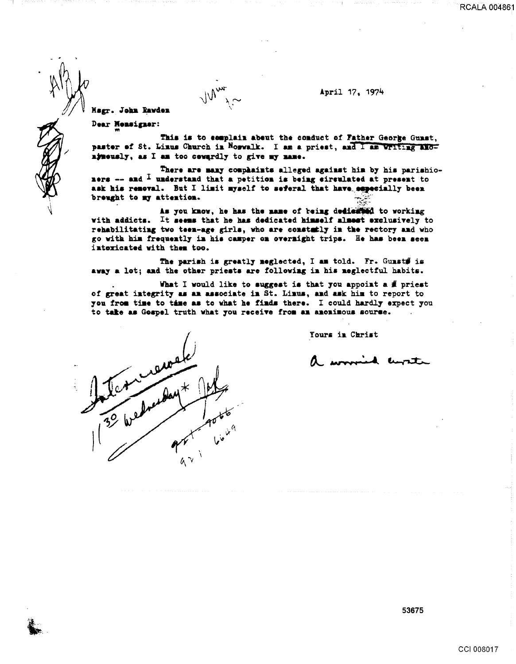**RCALA 004861** 

Msgr. John Rawden

Dear Nemsigner:

This is to complain about the conduct of Father George Gunst, paster of St. Linus Church in Norwalk. I am a priest, and I am Writing andnjneusly, as I am too cewardly to give my name.

There are many complaints alleged against him by his parishioners -- and  $\overline{1}$  understand that a petition is being eirsulated at present to ask his removal. But I limit myself to seferal that have especially been breught to my attention.

As you know, he has the mame of being dedicated to working with addicts. It seems that he has dedicated himself almest exclusively to rehabilitating two teen-age girls, who are constatly in the rectory and who go with him frequently in his camper on overnight trips. He has been seen intericated with them too.

The parish is greatly neglected, I am told. Fr. Gunst# is away a lot; and the other priests are following in his neglectful habits.

What I would like to suggest is that you appoint a  $#$  priest of great integrity as an associate in St. Linus, and ask him to report to you from time to tame as to what he finds there. I could hardly expect you to take as Gospel truth what you receive from an anonimous sourse.

Yours in Christ

April 17, 1974

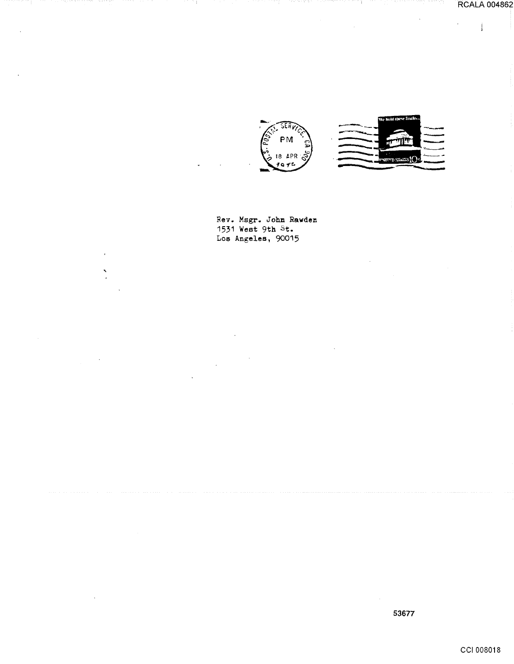$\mathbf{j}$ 

 $\bar{z}$ 





Rev. Msgr. John Rawden 1531 West 9th St. Los Angeles, 90015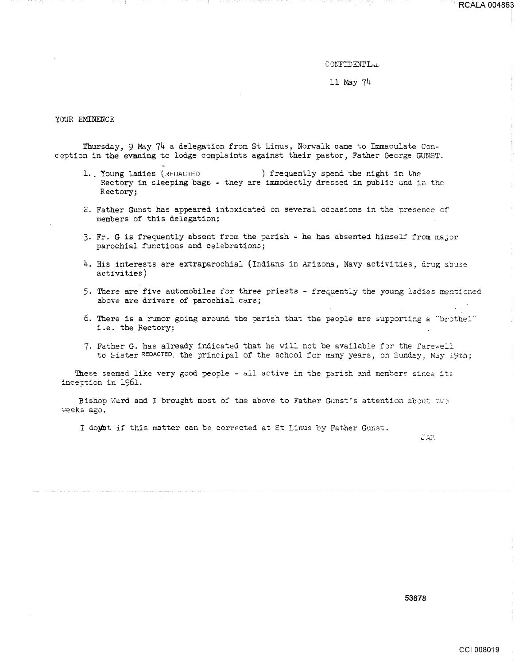#### CONFIDENTIAL

ll May 74

#### YOUR EMINENCE

Thursday, 9 May 74 a delegation from St Linus, Norwalk came to Immaculate Conception in the evsning to lodge complaints against their pastor, Father George GUNST.

- 1. Young ladies (REDACTED ) frequently spend the night in the Rectory in sleeping bags - they are immodestly dressed in public and in the Rectory;
- 2. Father Gunst has appeared intoxicated on several occasions in the presence of members of this delegation;
- 3. Fr. G is frequently absent from the parish he has absented himself from major parochial functions and celebrations;
- 4. His interests are extraparochial (Indians in Arizona, Navy activities, drug abuse activities)
- 5. There are five automobiles for three priests frequently the young ladies mentioned above are drivers of parochial cars;
- **6. There is a rumor going around the parish that the people are supporting a "brothel"** i.e. the Rectory;
- 7. Father G. has already indicated that he will not be available for the farewell to Sister REDACTED, the principal of the school for many years, on Sunday, May 19th;

These seemed like very good people - all active in the parish and members since its incettion in 1961.

Bishop Ward and I brought most of the above to Father Gunst's attention about two weeks ago.

I doybt if this matter can be corrected at St Linus by Father Gunst.

*J\_::.;?,*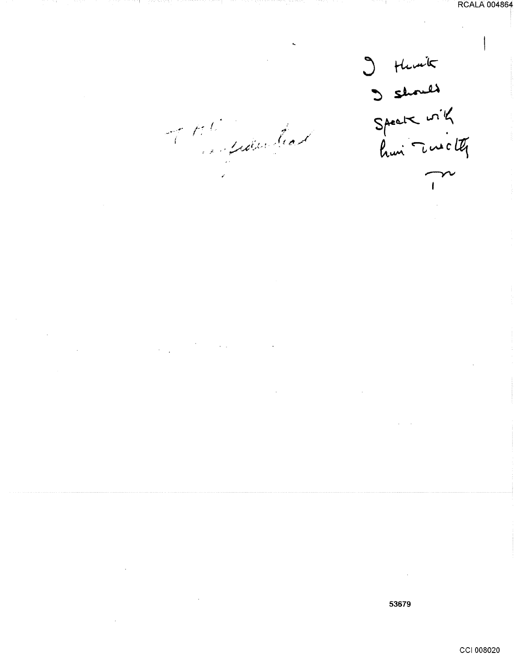I thank<br>Speak with<br>hui Turchy  $\overline{1}$ 

of the film had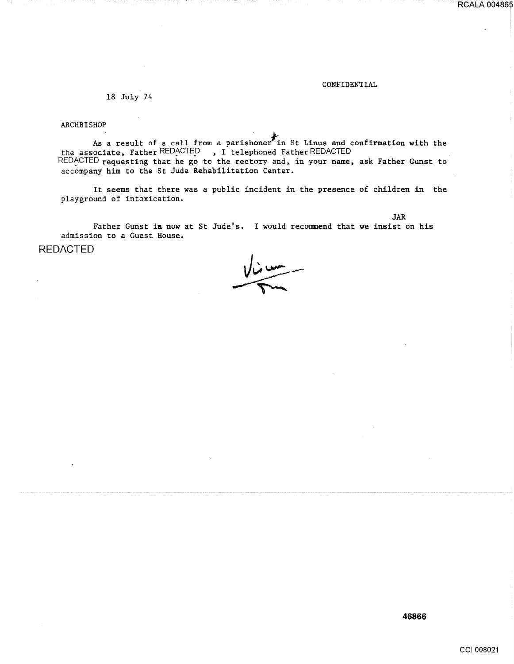#### CONFIDENTIAL

JAR

RCALA 004865

18 July 74

ARCHBISHOP

As a result of a call from a parishoner $\overline{P}$  in St Linus and confirmation with the the associate, Father REDACTED, I telephoned Father REDACTED REDACTED requesting that he go to the rectory and, in your name, ask Father Gunst to accompany him to the St Jude Rehabilitation Center.

It seems that there was a public incident in the presence of children in the playground of intoxication.

Father Gunst ia now at St Jude's. I would recommend that we insist on his admission to a Guest House.

REDACTED

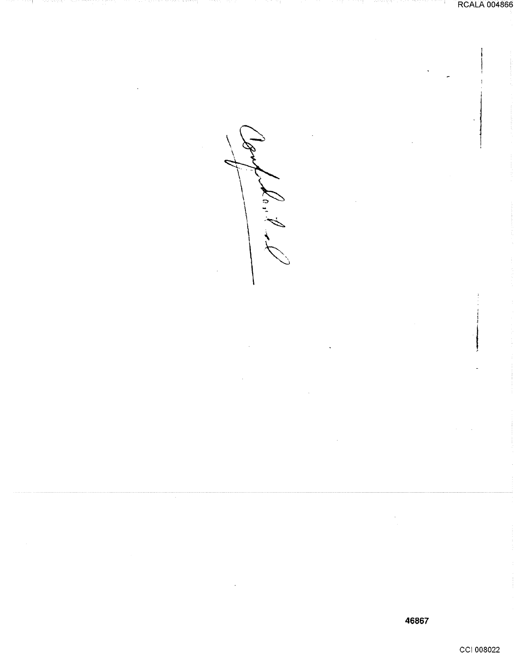$k_0, k$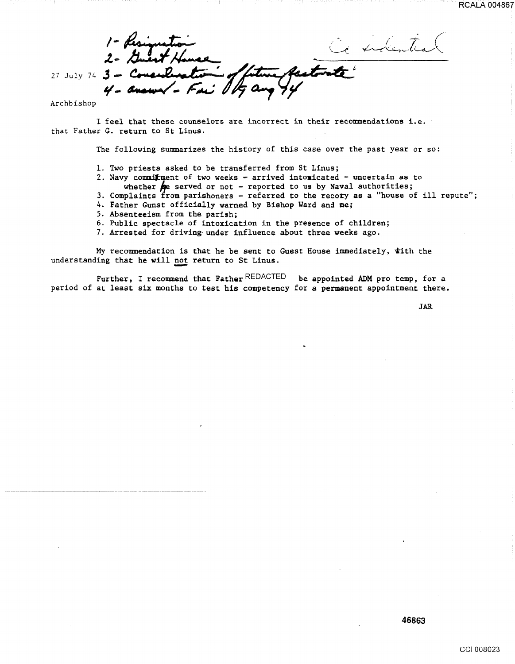intentes 27 July 74  $3 -$ 

Archbishop

I feel that these counselors are incorrect in their recommendations i.e. that Father G. return to St Linus.

The following summarizes the history of this case over the past year or so:

- 1. Two priests asked to be transferred from St Linus;
- 2. Navy commitment of two weeks arrived intoxicated uncertain as to
	- whether  $\bigotimes$  served or not reported to us by Naval authorities;
- 3. Complaints from parishoners referred to the recoty as a "house of ill repute";
- 4. Father Gunst officially warned by Bishop Ward and me;
- 5. Absenteeism from the parish;
- 6. Public spectacle of intoxication in the presence of children;
- 7. Arrested for driving-under influence about three weeks ago.

My recommendation is that he be sent to Guest House immediately, with the understanding that he will not return to St Linus.

Further, I recommend that Father REDACTED be appointed ADM pro temp, for a period of at least six months to test his competency for a permanent appointment there.

JAR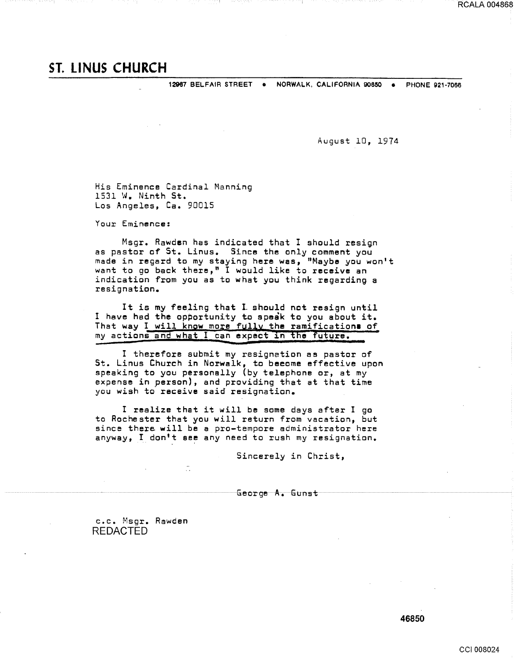12967 BELFAIR STREET • NORWALK, CALIFORNIA 908SO • PHONE 921-7066

August 10, 1974

His Eminence Cardinal Manning 1531 W. Ninth St. Los Angeles, Ca. 90015

Your Eminence:

Msgr. Rawden has indicated that I should resign as pastor of St. Linus. Since the only comment you made in regard to my staying here was, "Maybe you won't want to go back there," I would like to receive an indication from you as to what you think regarding a resignation.

It is my feeling that I should not resign until I have had the opportunity to speak to you about it. That way I will know more fully the ramifications of my actions and what I can expect in the future.

I therefore submit my resignation as pastor of St. Linus Church in Norwalk, to beeome effective upon speaking to you personally (by telephone or, at my expense in person), and providing that at that time you wish to receive said resignation.

I realize that it will be some days after I go to Rochester that you will return from vacation, but since there will be a pro-tempore administrator here anyway, I don't see any need to rush my resignation.

Sincerely in Christ,

George A. Gunst

c.c. Msgr. Rawden REDACTED

46850

RCALA 004868